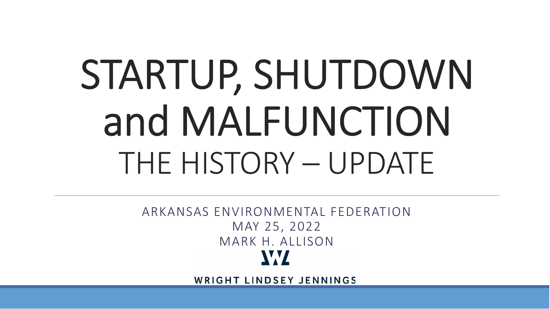# STARTUP, SHUTDOWN and MALFUNCTION THE HISTORY – UPDATE

ARKANSAS ENVIRONMENTAL FEDERATION MAY 25, 2022 MARK H. ALLISONW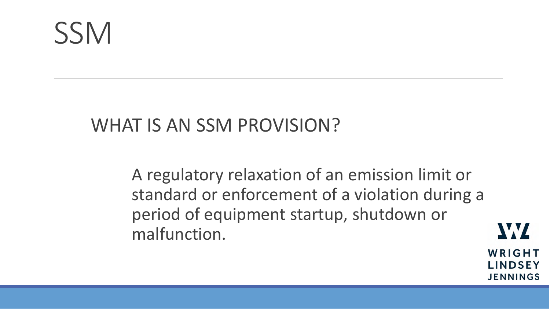### WHAT IS AN SSM PROVISION?

A regulatory relaxation of an emission limit or standard or enforcement of a violation during a period of equipment startup, shutdown or malfunction.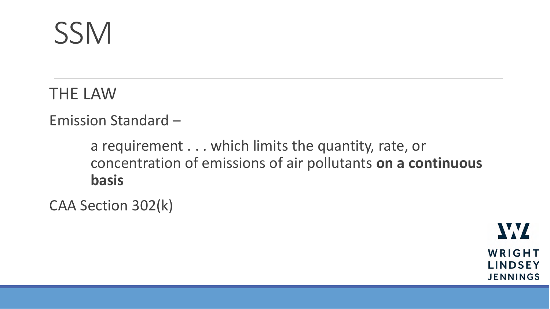THE LAW

#### Emission Standard –

a requirement . . . which limits the quantity, rate, or concentration of emissions of air pollutants **on a continuous basis**

CAA Section 302(k)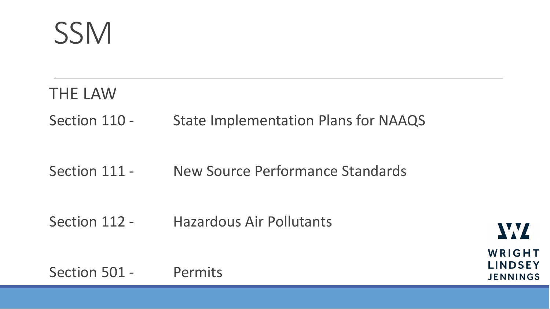### THE LAW Section 110 - State Implementation Plans for NAAQS

#### Section 111 - New Source Performance Standards

Section 112 - Hazardous Air Pollutants

Section 501 - Permits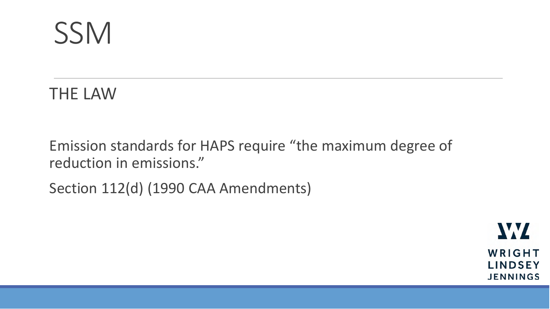THE LAW

Emission standards for HAPS require "the maximum degree of reduction in emissions."

Section 112(d) (1990 CAA Amendments)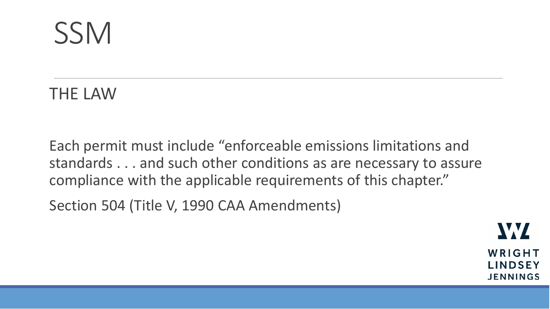THE LAW

Each permit must include "enforceable emissions limitations and standards . . . and such other conditions as are necessary to assure compliance with the applicable requirements of this chapter."

Section 504 (Title V, 1990 CAA Amendments)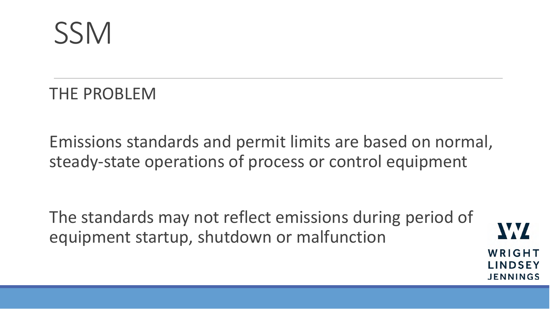THE PROBLEM

Emissions standards and permit limits are based on normal, steady-state operations of process or control equipment

The standards may not reflect emissions during period of equipment startup, shutdown or malfunction

V.V

WRIGHT

**LINDSEY** 

**JENNINGS**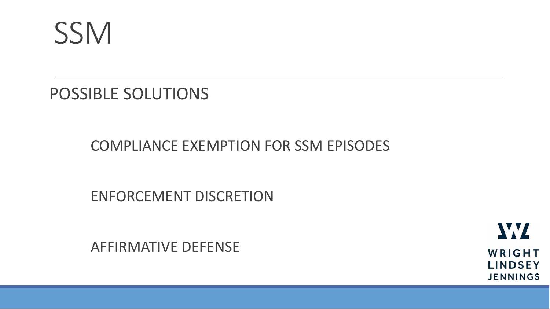

POSSIBLE SOLUTIONS

COMPLIANCE EXEMPTION FOR SSM EPISODES

ENFORCEMENT DISCRETION

AFFIRMATIVE DEFENSE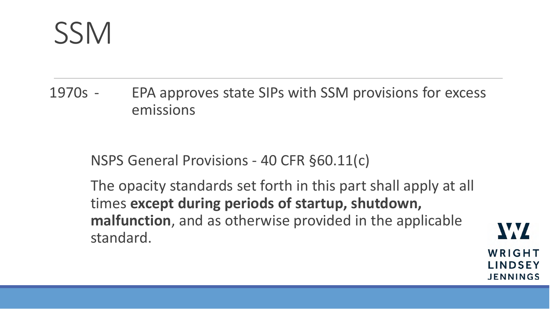1970s - EPA approves state SIPs with SSM provisions for excess emissions

NSPS General Provisions - 40 CFR §60.11(c)

The opacity standards set forth in this part shall apply at all times **except during periods of startup, shutdown, malfunction**, and as otherwise provided in the applicable standard.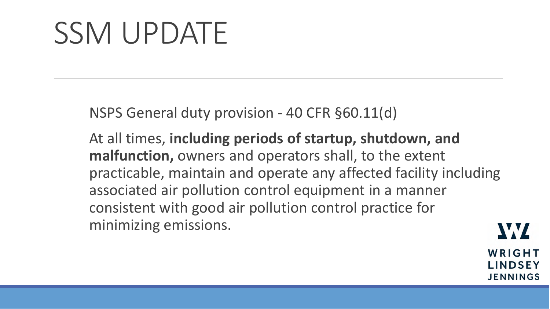NSPS General duty provision - 40 CFR §60.11(d)

At all times, **including periods of startup, shutdown, and malfunction,** owners and operators shall, to the extent practicable, maintain and operate any affected facility including associated air pollution control equipment in a manner consistent with good air pollution control practice for minimizing emissions.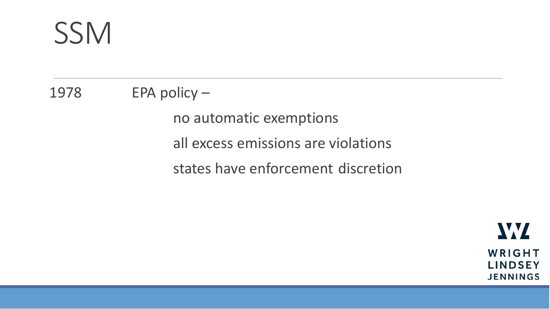1978 EPA policy –

no automatic exemptions all excess emissions are violations states have enforcement discretion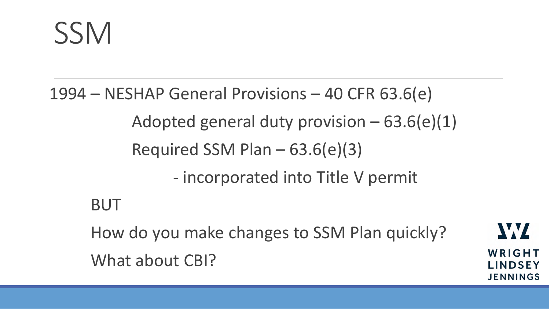1994 – NESHAP General Provisions – 40 CFR 63.6(e) Adopted general duty provision  $-63.6(e)(1)$ Required SSM Plan – 63.6(e)(3) - incorporated into Title V permit BUT How do you make changes to SSM Plan quickly? What about CBI?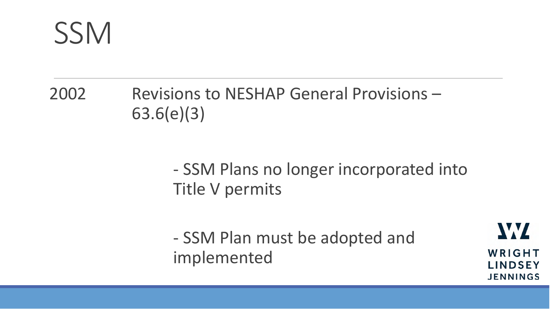2002 Revisions to NESHAP General Provisions – 63.6(e)(3)

> - SSM Plans no longer incorporated into Title V permits

- SSM Plan must be adopted and implemented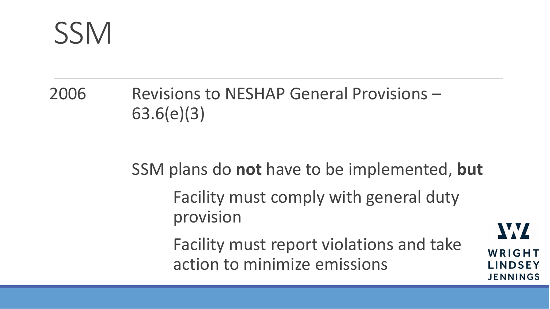### 2006 Revisions to NESHAP General Provisions – 63.6(e)(3)

#### SSM plans do **not** have to be implemented, **but**

Facility must comply with general duty provision

Facility must report violations and take action to minimize emissions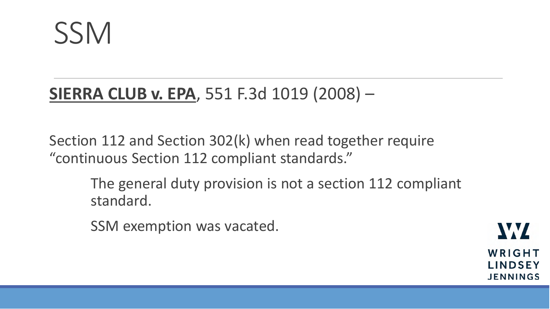

### **SIERRA CLUB v. EPA**, 551 F.3d 1019 (2008) –

Section 112 and Section 302(k) when read together require "continuous Section 112 compliant standards."

> The general duty provision is not a section 112 compliant standard.

SSM exemption was vacated.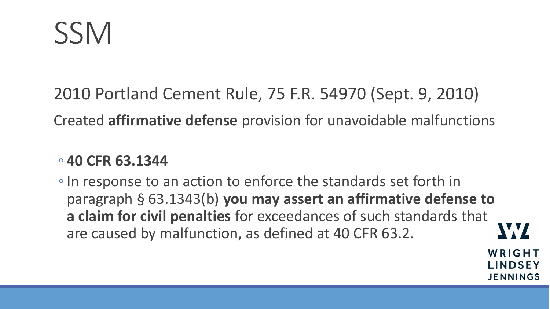2010 Portland Cement Rule, 75 F.R. 54970 (Sept. 9, 2010) Created **affirmative defense** provision for unavoidable malfunctions

#### ◦ **40 CFR 63.1344**

◦In response to an action to enforce the standards set forth in paragraph § 63.1343(b) **you may assert an affirmative defense to a claim for civil penalties** for exceedances of such standards that WY are caused by malfunction, as defined at 40 CFR 63.2.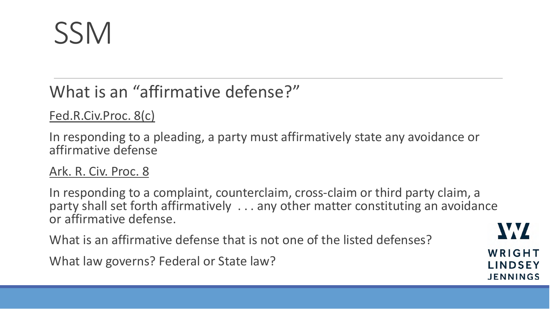### What is an "affirmative defense?"

#### Fed.R.Civ.Proc. 8(c)

In responding to a pleading, a party must affirmatively state any avoidance or affirmative defense

#### Ark. R. Civ. Proc. 8

In responding to a complaint, counterclaim, cross-claim or third party claim, a party shall set forth affirmatively . . . any other matter constituting an avoidance or affirmative defense.

What is an affirmative defense that is not one of the listed defenses?

What law governs? Federal or State law?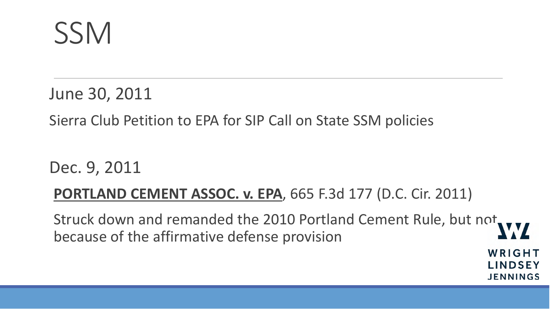June 30, 2011

Sierra Club Petition to EPA for SIP Call on State SSM policies

Dec. 9, 2011

#### **PORTLAND CEMENT ASSOC. v. EPA**, 665 F.3d 177 (D.C. Cir. 2011)

Struck down and remanded the 2010 Portland Cement Rule, but not because of the affirmative defense provision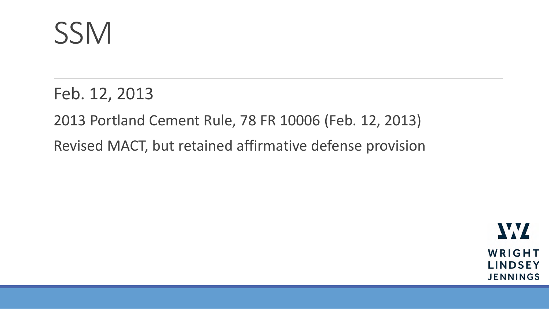Feb. 12, 2013

2013 Portland Cement Rule, 78 FR 10006 (Feb. 12, 2013)

Revised MACT, but retained affirmative defense provision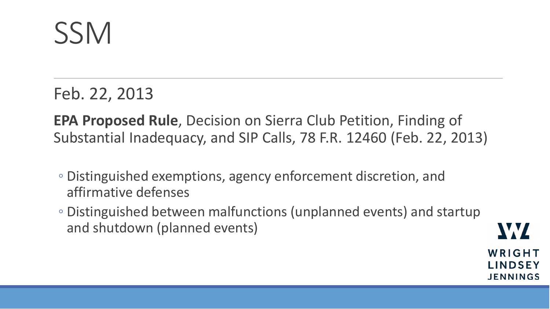Feb. 22, 2013

**EPA Proposed Rule**, Decision on Sierra Club Petition, Finding of Substantial Inadequacy, and SIP Calls, 78 F.R. 12460 (Feb. 22, 2013)

- Distinguished exemptions, agency enforcement discretion, and affirmative defenses
- Distinguished between malfunctions (unplanned events) and startup and shutdown (planned events)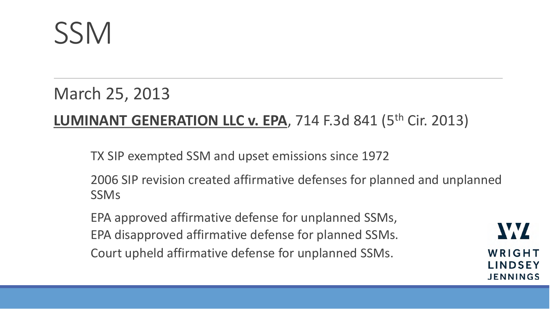#### March 25, 2013

#### **LUMINANT GENERATION LLC v. EPA, 714 F.3d 841 (5<sup>th</sup> Cir. 2013)**

TX SIP exempted SSM and upset emissions since 1972

2006 SIP revision created affirmative defenses for planned and unplanned SSMs

EPA approved affirmative defense for unplanned SSMs, EPA disapproved affirmative defense for planned SSMs. Court upheld affirmative defense for unplanned SSMs.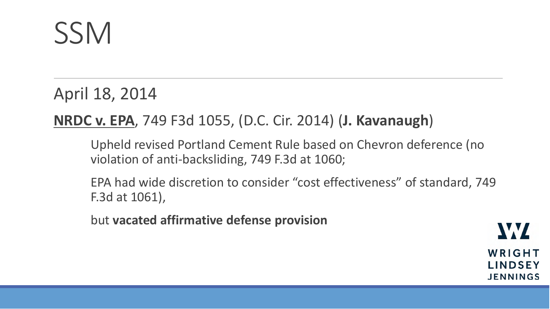April 18, 2014

#### **NRDC v. EPA**, 749 F3d 1055, (D.C. Cir. 2014) (**J. Kavanaugh**)

Upheld revised Portland Cement Rule based on Chevron deference (no violation of anti-backsliding, 749 F.3d at 1060;

EPA had wide discretion to consider "cost effectiveness" of standard, 749 F.3d at 1061),

but **vacated affirmative defense provision**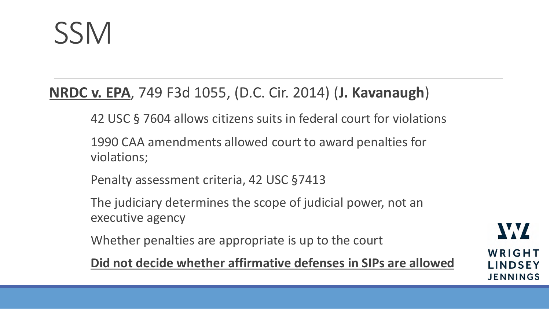#### **NRDC v. EPA**, 749 F3d 1055, (D.C. Cir. 2014) (**J. Kavanaugh**)

42 USC § 7604 allows citizens suits in federal court for violations

1990 CAA amendments allowed court to award penalties for violations;

Penalty assessment criteria, 42 USC §7413

The judiciary determines the scope of judicial power, not an executive agency

Whether penalties are appropriate is up to the court

**Did not decide whether affirmative defenses in SIPs are allowed**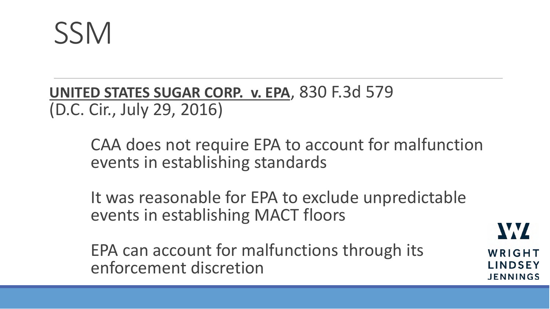**UNITED STATES SUGAR CORP. v. EPA**, 830 F.3d 579 (D.C. Cir., July 29, 2016)

> CAA does not require EPA to account for malfunction events in establishing standards

It was reasonable for EPA to exclude unpredictable events in establishing MACT floors

EPA can account for malfunctions through its enforcement discretion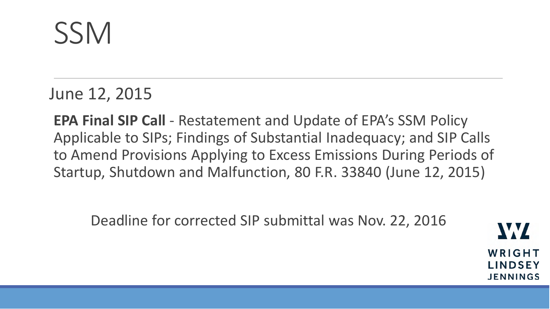June 12, 2015

**EPA Final SIP Call** - Restatement and Update of EPA's SSM Policy Applicable to SIPs; Findings of Substantial Inadequacy; and SIP Calls to Amend Provisions Applying to Excess Emissions During Periods of Startup, Shutdown and Malfunction, 80 F.R. 33840 (June 12, 2015)

Deadline for corrected SIP submittal was Nov. 22, 2016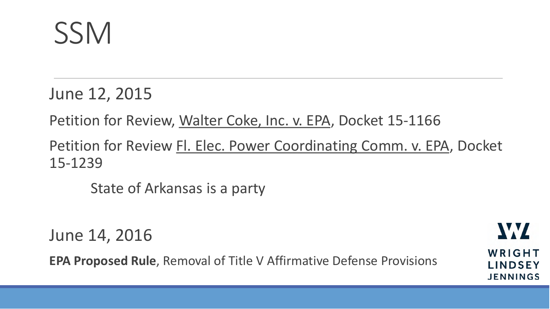June 12, 2015

Petition for Review, Walter Coke, Inc. v. EPA, Docket 15-1166

Petition for Review Fl. Elec. Power Coordinating Comm. v. EPA, Docket 15-1239

State of Arkansas is a party

June 14, 2016

**EPA Proposed Rule**, Removal of Title V Affirmative Defense Provisions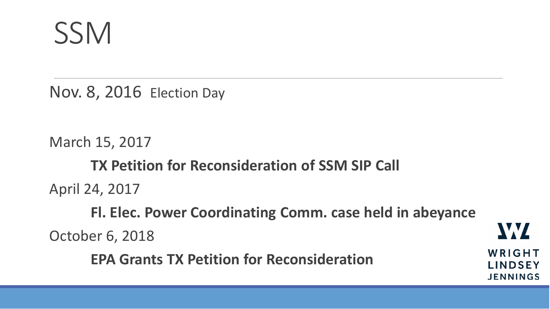**SSM** 

Nov. 8, 2016 Election Day

March 15, 2017 **TX Petition for Reconsideration of SSM SIP Call** April 24, 2017 **Fl. Elec. Power Coordinating Comm. case held in abeyance** October 6, 2018 **EPA Grants TX Petition for Reconsideration**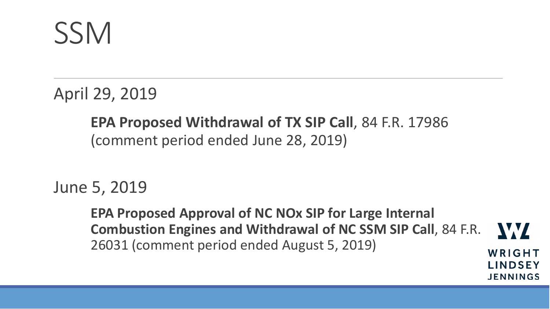April 29, 2019

#### **EPA Proposed Withdrawal of TX SIP Call**, 84 F.R. 17986 (comment period ended June 28, 2019)

June 5, 2019

**EPA Proposed Approval of NC NOx SIP for Large Internal Combustion Engines and Withdrawal of NC SSM SIP Call**, 84 F.R. W 26031 (comment period ended August 5, 2019)WRIGHT

**LINDSEY** 

**JENNINGS**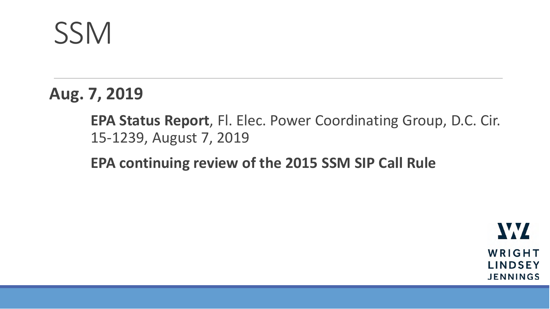**Aug. 7, 2019**

**EPA Status Report**, Fl. Elec. Power Coordinating Group, D.C. Cir. 15-1239, August 7, 2019

**EPA continuing review of the 2015 SSM SIP Call Rule**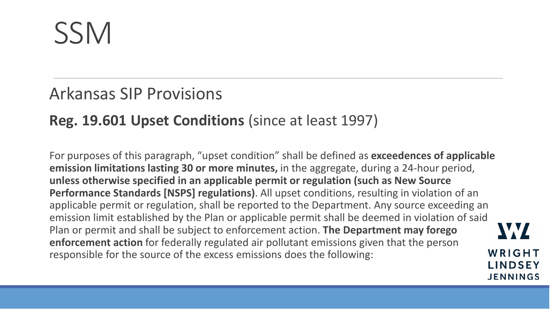#### Arkansas SIP Provisions

#### **Reg. 19.601 Upset Conditions** (since at least 1997)

For purposes of this paragraph, "upset condition" shall be defined as **exceedences of applicable emission limitations lasting 30 or more minutes,** in the aggregate, during a 24-hour period, **unless otherwise specified in an applicable permit or regulation (such as New Source Performance Standards [NSPS] regulations)**. All upset conditions, resulting in violation of an applicable permit or regulation, shall be reported to the Department. Any source exceeding an emission limit established by the Plan or applicable permit shall be deemed in violation of said Plan or permit and shall be subject to enforcement action. **The Department may forego enforcement action** for federally regulated air pollutant emissions given that the person responsible for the source of the excess emissions does the following: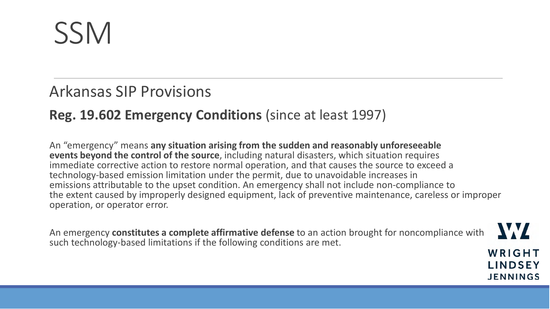#### Arkansas SIP Provisions

#### **Reg. 19.602 Emergency Conditions** (since at least 1997)

An "emergency" means **any situation arising from the sudden and reasonably unforeseeable events beyond the control of the source**, including natural disasters, which situation requires immediate corrective action to restore normal operation, and that causes the source to exceed a technology-based emission limitation under the permit, due to unavoidable increases in emissions attributable to the upset condition. An emergency shall not include non-compliance to the extent caused by improperly designed equipment, lack of preventive maintenance, careless or improper operation, or operator error.

An emergency **constitutes a complete affirmative defense** to an action brought for noncompliance with such technology-based limitations if the following conditions are met.

WRIGHT **LINDSEY JENNINGS** 

WZ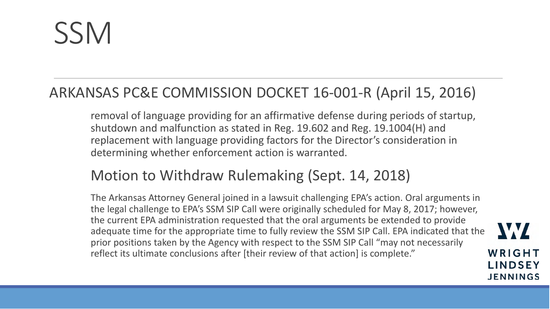#### ARKANSAS PC&E COMMISSION DOCKET 16-001-R (April 15, 2016)

removal of language providing for an affirmative defense during periods of startup, shutdown and malfunction as stated in Reg. 19.602 and Reg. 19.1004(H) and replacement with language providing factors for the Director's consideration in determining whether enforcement action is warranted.

#### Motion to Withdraw Rulemaking (Sept. 14, 2018)

The Arkansas Attorney General joined in a lawsuit challenging EPA's action. Oral arguments in the legal challenge to EPA's SSM SIP Call were originally scheduled for May 8, 2017; however, the current EPA administration requested that the oral arguments be extended to provide adequate time for the appropriate time to fully review the SSM SIP Call. EPA indicated that the prior positions taken by the Agency with respect to the SSM SIP Call "may not necessarily reflect its ultimate conclusions after [their review of that action] is complete."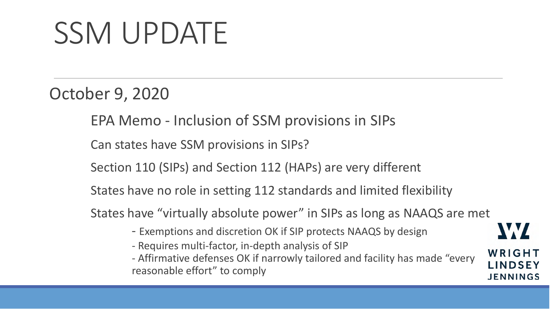October 9, 2020

EPA Memo - Inclusion of SSM provisions in SIPs

Can states have SSM provisions in SIPs?

Section 110 (SIPs) and Section 112 (HAPs) are very different

States have no role in setting 112 standards and limited flexibility

States have "virtually absolute power" in SIPs as long as NAAQS are met

- Exemptions and discretion OK if SIP protects NAAQS by design
- Requires multi-factor, in-depth analysis of SIP

- Affirmative defenses OK if narrowly tailored and facility has made "every reasonable effort" to comply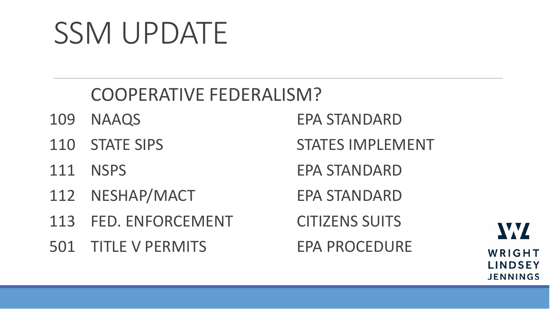### COOPERATIVE FEDERALISM?

- 
- 
- 
- 112 NESHAP/MACT EPA STANDARD
- 113 FED. ENFORCEMENT CITIZENS SUITS

501 TITLE V PERMITS EPA PROCEDURE

109 NAAQS EPA STANDARD

110 STATE SIPS STATES IMPLEMENT

111 NSPS EPA STANDARD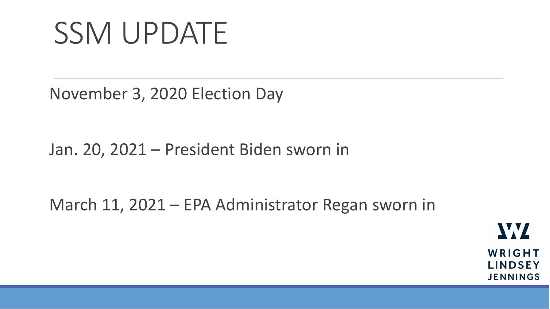November 3, 2020 Election Day

Jan. 20, 2021 – President Biden sworn in

March 11, 2021 – EPA Administrator Regan sworn in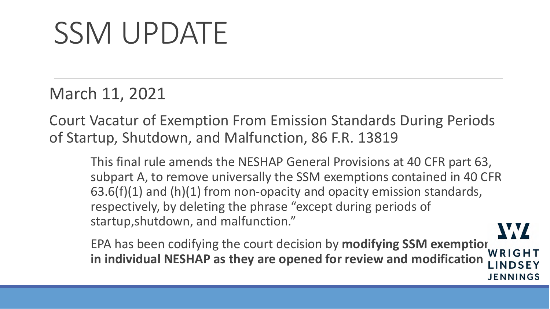March 11, 2021

Court Vacatur of Exemption From Emission Standards During Periods of Startup, Shutdown, and Malfunction, 86 F.R. 13819

This final rule amends the NESHAP General Provisions at 40 CFR part 63, subpart A, to remove universally the SSM exemptions contained in 40 CFR 63.6(f)(1) and (h)(1) from non-opacity and opacity emission standards, respectively, by deleting the phrase "except during periods of startup,shutdown, and malfunction." W

EPA has been codifying the court decision by **modifying SSM exemption**<br> **EPA has been codifying the court decision by modifying SSM exemption in individual NESHAP as they are opened for review and modificationI INDSEY** 

**JENNINGS**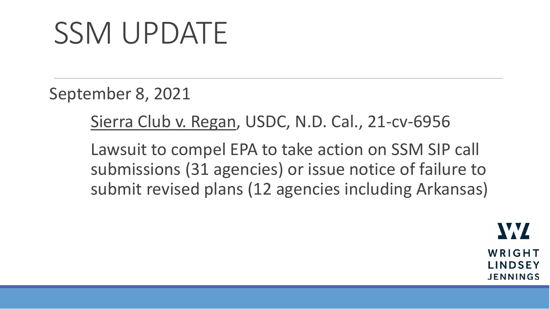September 8, 2021

Sierra Club v. Regan, USDC, N.D. Cal., 21-cv-6956

Lawsuit to compel EPA to take action on SSM SIP call submissions (31 agencies) or issue notice of failure to submit revised plans (12 agencies including Arkansas)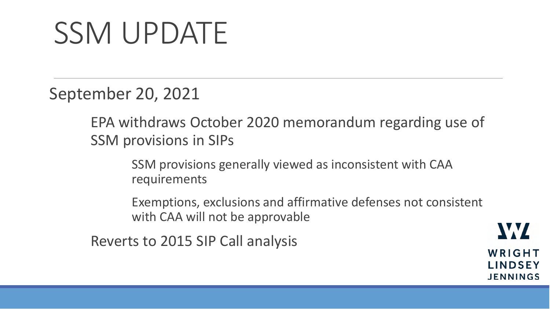September 20, 2021

EPA withdraws October 2020 memorandum regarding use of SSM provisions in SIPs

> SSM provisions generally viewed as inconsistent with CAA requirements

Exemptions, exclusions and affirmative defenses not consistent with CAA will not be approvable

Reverts to 2015 SIP Call analysis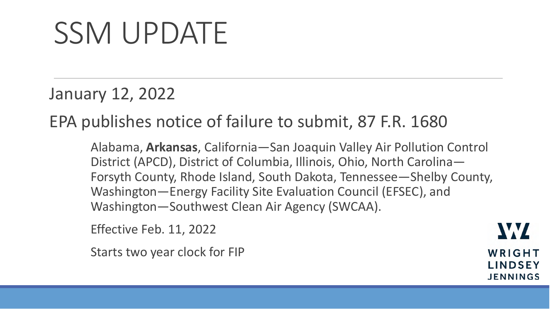January 12, 2022

EPA publishes notice of failure to submit, 87 F.R. 1680

Alabama, **Arkansas**, California—San Joaquin Valley Air Pollution Control District (APCD), District of Columbia, Illinois, Ohio, North Carolina— Forsyth County, Rhode Island, South Dakota, Tennessee—Shelby County, Washington—Energy Facility Site Evaluation Council (EFSEC), and Washington—Southwest Clean Air Agency (SWCAA).

Effective Feb. 11, 2022

Starts two year clock for FIP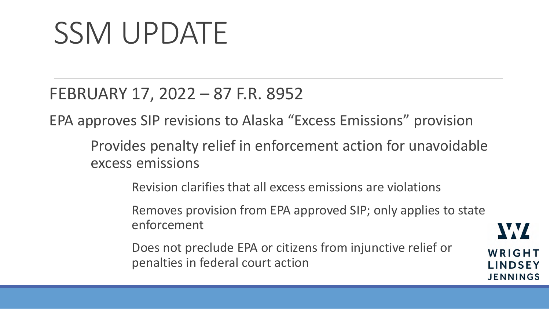#### FEBRUARY 17, 2022 – 87 F.R. 8952

EPA approves SIP revisions to Alaska "Excess Emissions" provision

Provides penalty relief in enforcement action for unavoidable excess emissions

Revision clarifies that all excess emissions are violations

Removes provision from EPA approved SIP; only applies to state enforcement

Does not preclude EPA or citizens from injunctive relief or penalties in federal court action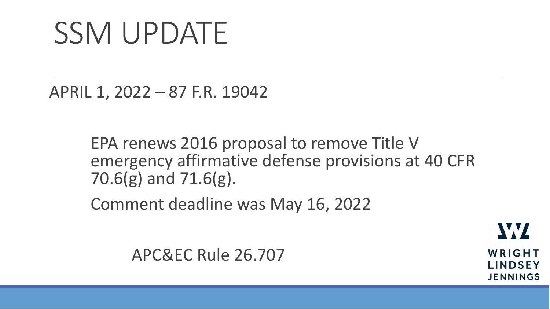APRIL 1, 2022 – 87 F.R. 19042

EPA renews 2016 proposal to remove Title V emergency affirmative defense provisions at 40 CFR 70.6(g) and 71.6(g).

Comment deadline was May 16, 2022

APC&EC Rule 26.707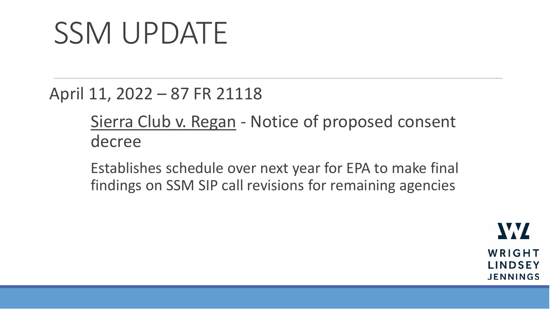April 11, 2022 – 87 FR 21118

Sierra Club v. Regan - Notice of proposed consent decree

Establishes schedule over next year for EPA to make final findings on SSM SIP call revisions for remaining agencies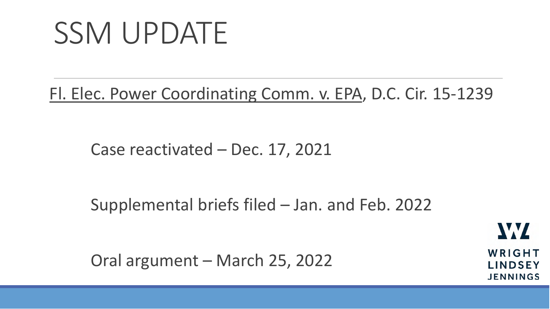Fl. Elec. Power Coordinating Comm. v. EPA, D.C. Cir. 15-1239

Case reactivated – Dec. 17, 2021

Supplemental briefs filed – Jan. and Feb. 2022

Oral argument – March 25, 2022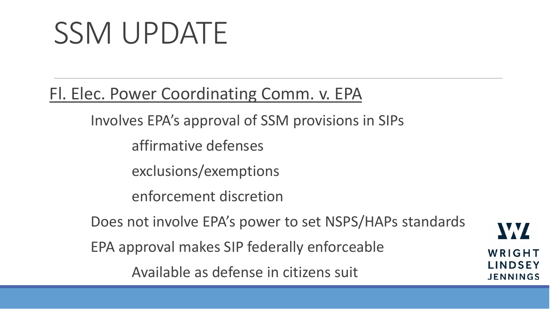Fl. Elec. Power Coordinating Comm. v. EPA

Involves EPA's approval of SSM provisions in SIPs

affirmative defenses

exclusions/exemptions

enforcement discretion

Does not involve EPA's power to set NSPS/HAPs standards

EPA approval makes SIP federally enforceable

Available as defense in citizens suit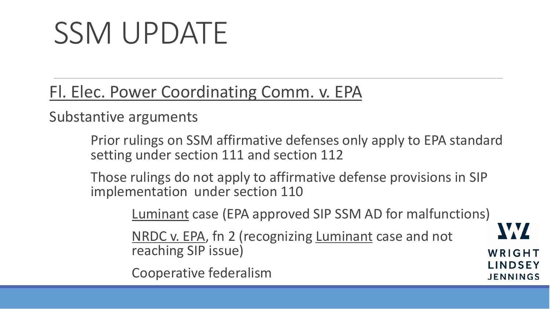Fl. Elec. Power Coordinating Comm. v. EPA

Substantive arguments

Prior rulings on SSM affirmative defenses only apply to EPA standard setting under section 111 and section 112

Those rulings do not apply to affirmative defense provisions in SIP implementation under section 110

Luminant case (EPA approved SIP SSM AD for malfunctions)

W

WRIGHT

**LINDSEY** 

**JENNINGS** 

NRDC v. EPA, fn 2 (recognizing Luminant case and not reaching SIP issue)

Cooperative federalism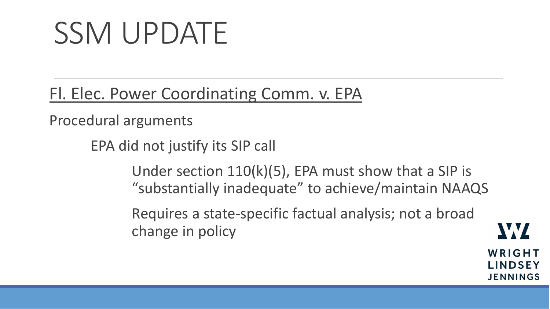Fl. Elec. Power Coordinating Comm. v. EPA

Procedural arguments

EPA did not justify its SIP call

Under section 110(k)(5), EPA must show that a SIP is "substantially inadequate" to achieve/maintain NAAQS

Requires a state-specific factual analysis; not a broad change in policy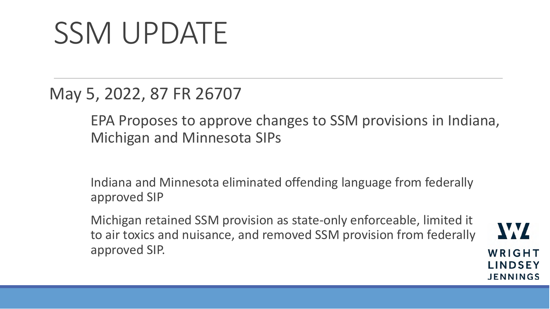May 5, 2022, 87 FR 26707

EPA Proposes to approve changes to SSM provisions in Indiana, Michigan and Minnesota SIPs

Indiana and Minnesota eliminated offending language from federally approved SIP

Michigan retained SSM provision as state-only enforceable, limited it to air toxics and nuisance, and removed SSM provision from federally approved SIP.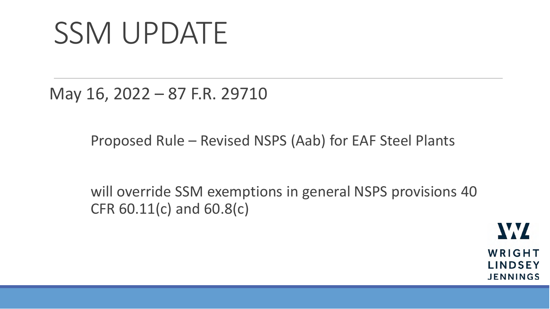May 16, 2022 – 87 F.R. 29710

Proposed Rule – Revised NSPS (Aab) for EAF Steel Plants

will override SSM exemptions in general NSPS provisions 40 CFR 60.11(c) and 60.8(c)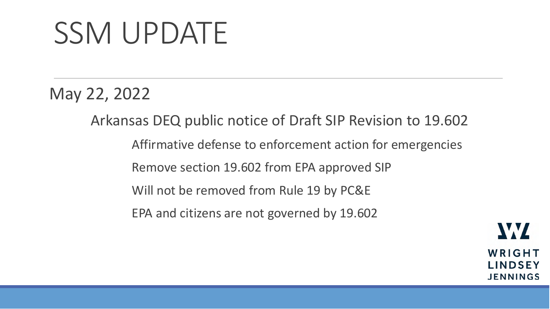May 22, 2022

Arkansas DEQ public notice of Draft SIP Revision to 19.602 Affirmative defense to enforcement action for emergencies Remove section 19.602 from EPA approved SIP Will not be removed from Rule 19 by PC&E EPA and citizens are not governed by 19.602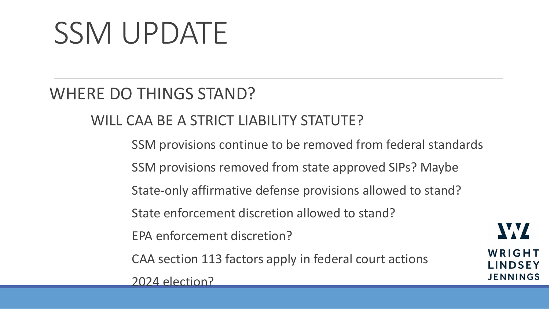#### WHERE DO THINGS STAND?

WILL CAA BE A STRICT LIABILITY STATUTE?

SSM provisions continue to be removed from federal standards SSM provisions removed from state approved SIPs? Maybe State-only affirmative defense provisions allowed to stand? State enforcement discretion allowed to stand? EPA enforcement discretion? CAA section 113 factors apply in federal court actions 2024 election?